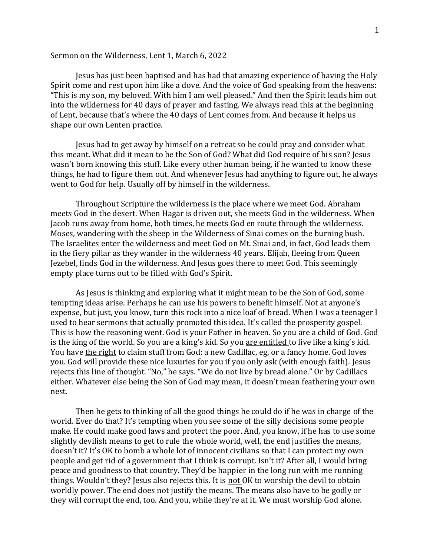## Sermon on the Wilderness, Lent 1, March 6, 2022

Jesus has just been baptised and has had that amazing experience of having the Holy Spirit come and rest upon him like a dove. And the voice of God speaking from the heavens: "This is my son, my beloved. With him I am well pleased." And then the Spirit leads him out into the wilderness for 40 days of prayer and fasting. We always read this at the beginning of Lent, because that's where the 40 days of Lent comes from. And because it helps us shape our own Lenten practice.

Jesus had to get away by himself on a retreat so he could pray and consider what this meant. What did it mean to be the Son of God? What did God require of his son? Jesus wasn't born knowing this stuff. Like every other human being, if he wanted to know these things, he had to figure them out. And whenever Jesus had anything to figure out, he always went to God for help. Usually off by himself in the wilderness.

Throughout Scripture the wilderness is the place where we meet God. Abraham meets God in the desert. When Hagar is driven out, she meets God in the wilderness. When Jacob runs away from home, both times, he meets God en route through the wilderness. Moses, wandering with the sheep in the Wilderness of Sinai comes on the burning bush. The Israelites enter the wilderness and meet God on Mt. Sinai and, in fact, God leads them in the fiery pillar as they wander in the wilderness 40 years. Elijah, fleeing from Queen Jezebel, finds God in the wilderness. And Jesus goes there to meet God. This seemingly empty place turns out to be filled with God's Spirit.

As Jesus is thinking and exploring what it might mean to be the Son of God, some tempting ideas arise. Perhaps he can use his powers to benefit himself. Not at anyone's expense, but just, you know, turn this rock into a nice loaf of bread. When I was a teenager I used to hear sermons that actually promoted this idea. It's called the prosperity gospel. This is how the reasoning went. God is your Father in heaven. So you are a child of God. God is the king of the world. So you are a king's kid. So you are entitled to live like a king's kid. You have the right to claim stuff from God: a new Cadillac, eg, or a fancy home. God loves you. God will provide these nice luxuries for you if you only ask (with enough faith). Jesus rejects this line of thought. "No," he says. "We do not live by bread alone." Or by Cadillacs either. Whatever else being the Son of God may mean, it doesn't mean feathering your own nest.

Then he gets to thinking of all the good things he could do if he was in charge of the world. Ever do that? It's tempting when you see some of the silly decisions some people make. He could make good laws and protect the poor. And, you know, if he has to use some slightly devilish means to get to rule the whole world, well, the end justifies the means, doesn't it? It's OK to bomb a whole lot of innocent civilians so that I can protect my own people and get rid of a government that I think is corrupt. Isn't it? After all, I would bring peace and goodness to that country. They'd be happier in the long run with me running things. Wouldn't they? Jesus also rejects this. It is not OK to worship the devil to obtain worldly power. The end does not justify the means. The means also have to be godly or they will corrupt the end, too. And you, while they're at it. We must worship God alone.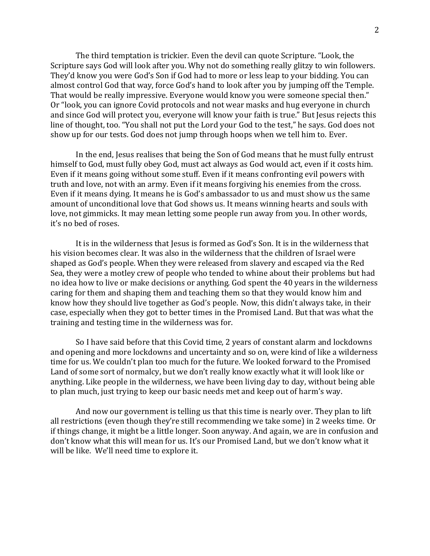The third temptation is trickier. Even the devil can quote Scripture. "Look, the Scripture says God will look after you. Why not do something really glitzy to win followers. They'd know you were God's Son if God had to more or less leap to your bidding. You can almost control God that way, force God's hand to look after you by jumping off the Temple. That would be really impressive. Everyone would know you were someone special then." Or "look, you can ignore Covid protocols and not wear masks and hug everyone in church and since God will protect you, everyone will know your faith is true." But Jesus rejects this line of thought, too. "You shall not put the Lord your God to the test," he says. God does not show up for our tests. God does not jump through hoops when we tell him to. Ever.

In the end, Jesus realises that being the Son of God means that he must fully entrust himself to God, must fully obey God, must act always as God would act, even if it costs him. Even if it means going without some stuff. Even if it means confronting evil powers with truth and love, not with an army. Even if it means forgiving his enemies from the cross. Even if it means dying. It means he is God's ambassador to us and must show us the same amount of unconditional love that God shows us. It means winning hearts and souls with love, not gimmicks. It may mean letting some people run away from you. In other words, it's no bed of roses.

It is in the wilderness that Jesus is formed as God's Son. It is in the wilderness that his vision becomes clear. It was also in the wilderness that the children of Israel were shaped as God's people. When they were released from slavery and escaped via the Red Sea, they were a motley crew of people who tended to whine about their problems but had no idea how to live or make decisions or anything. God spent the 40 years in the wilderness caring for them and shaping them and teaching them so that they would know him and know how they should live together as God's people. Now, this didn't always take, in their case, especially when they got to better times in the Promised Land. But that was what the training and testing time in the wilderness was for.

So I have said before that this Covid time, 2 years of constant alarm and lockdowns and opening and more lockdowns and uncertainty and so on, were kind of like a wilderness time for us. We couldn't plan too much for the future. We looked forward to the Promised Land of some sort of normalcy, but we don't really know exactly what it will look like or anything. Like people in the wilderness, we have been living day to day, without being able to plan much, just trying to keep our basic needs met and keep out of harm's way.

And now our government is telling us that this time is nearly over. They plan to lift all restrictions (even though they're still recommending we take some) in 2 weeks time. Or if things change, it might be a little longer. Soon anyway. And again, we are in confusion and don't know what this will mean for us. It's our Promised Land, but we don't know what it will be like. We'll need time to explore it.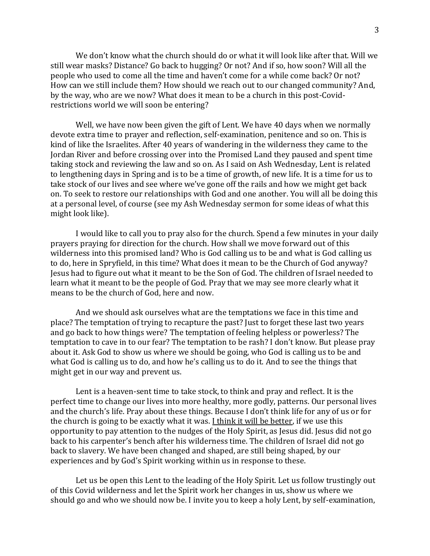We don't know what the church should do or what it will look like after that. Will we still wear masks? Distance? Go back to hugging? Or not? And if so, how soon? Will all the people who used to come all the time and haven't come for a while come back? Or not? How can we still include them? How should we reach out to our changed community? And, by the way, who are we now? What does it mean to be a church in this post-Covidrestrictions world we will soon be entering?

Well, we have now been given the gift of Lent. We have 40 days when we normally devote extra time to prayer and reflection, self-examination, penitence and so on. This is kind of like the Israelites. After 40 years of wandering in the wilderness they came to the Jordan River and before crossing over into the Promised Land they paused and spent time taking stock and reviewing the law and so on. As I said on Ash Wednesday, Lent is related to lengthening days in Spring and is to be a time of growth, of new life. It is a time for us to take stock of our lives and see where we've gone off the rails and how we might get back on. To seek to restore our relationships with God and one another. You will all be doing this at a personal level, of course (see my Ash Wednesday sermon for some ideas of what this might look like).

I would like to call you to pray also for the church. Spend a few minutes in your daily prayers praying for direction for the church. How shall we move forward out of this wilderness into this promised land? Who is God calling us to be and what is God calling us to do, here in Spryfield, in this time? What does it mean to be the Church of God anyway? Jesus had to figure out what it meant to be the Son of God. The children of Israel needed to learn what it meant to be the people of God. Pray that we may see more clearly what it means to be the church of God, here and now.

And we should ask ourselves what are the temptations we face in this time and place? The temptation of trying to recapture the past? Just to forget these last two years and go back to how things were? The temptation of feeling helpless or powerless? The temptation to cave in to our fear? The temptation to be rash? I don't know. But please pray about it. Ask God to show us where we should be going, who God is calling us to be and what God is calling us to do, and how he's calling us to do it. And to see the things that might get in our way and prevent us.

Lent is a heaven-sent time to take stock, to think and pray and reflect. It is the perfect time to change our lives into more healthy, more godly, patterns. Our personal lives and the church's life. Pray about these things. Because I don't think life for any of us or for the church is going to be exactly what it was. I think it will be better, if we use this opportunity to pay attention to the nudges of the Holy Spirit, as Jesus did. Jesus did not go back to his carpenter's bench after his wilderness time. The children of Israel did not go back to slavery. We have been changed and shaped, are still being shaped, by our experiences and by God's Spirit working within us in response to these.

Let us be open this Lent to the leading of the Holy Spirit. Let us follow trustingly out of this Covid wilderness and let the Spirit work her changes in us, show us where we should go and who we should now be. I invite you to keep a holy Lent, by self-examination,